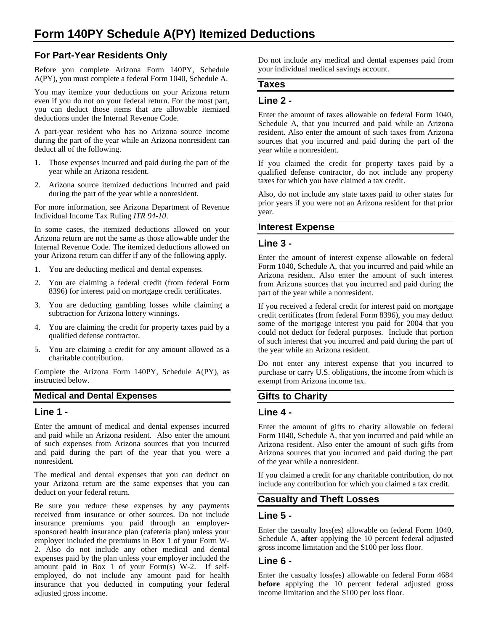# **For Part-Year Residents Only**

Before you complete Arizona Form 140PY, Schedule A(PY), you must complete a federal Form 1040, Schedule A.

You may itemize your deductions on your Arizona return even if you do not on your federal return. For the most part, you can deduct those items that are allowable itemized deductions under the Internal Revenue Code.

A part-year resident who has no Arizona source income during the part of the year while an Arizona nonresident can deduct all of the following.

- 1. Those expenses incurred and paid during the part of the year while an Arizona resident.
- 2. Arizona source itemized deductions incurred and paid during the part of the year while a nonresident.

For more information, see Arizona Department of Revenue Individual Income Tax Ruling *ITR 94-10*.

In some cases, the itemized deductions allowed on your Arizona return are not the same as those allowable under the Internal Revenue Code. The itemized deductions allowed on your Arizona return can differ if any of the following apply.

- 1. You are deducting medical and dental expenses.
- 2. You are claiming a federal credit (from federal Form 8396) for interest paid on mortgage credit certificates.
- 3. You are deducting gambling losses while claiming a subtraction for Arizona lottery winnings.
- 4. You are claiming the credit for property taxes paid by a qualified defense contractor.
- 5. You are claiming a credit for any amount allowed as a charitable contribution.

Complete the Arizona Form 140PY, Schedule A(PY), as instructed below.

#### **Medical and Dental Expenses**

#### **Line 1 -**

Enter the amount of medical and dental expenses incurred and paid while an Arizona resident. Also enter the amount of such expenses from Arizona sources that you incurred and paid during the part of the year that you were a nonresident.

The medical and dental expenses that you can deduct on your Arizona return are the same expenses that you can deduct on your federal return.

Be sure you reduce these expenses by any payments received from insurance or other sources. Do not include insurance premiums you paid through an employersponsored health insurance plan (cafeteria plan) unless your employer included the premiums in Box 1 of your Form W-2. Also do not include any other medical and dental expenses paid by the plan unless your employer included the amount paid in Box 1 of your Form(s) W-2. If selfemployed, do not include any amount paid for health insurance that you deducted in computing your federal adjusted gross income.

Do not include any medical and dental expenses paid from your individual medical savings account.

### **Taxes**

#### **Line 2 -**

Enter the amount of taxes allowable on federal Form 1040, Schedule A, that you incurred and paid while an Arizona resident. Also enter the amount of such taxes from Arizona sources that you incurred and paid during the part of the year while a nonresident.

If you claimed the credit for property taxes paid by a qualified defense contractor, do not include any property taxes for which you have claimed a tax credit.

Also, do not include any state taxes paid to other states for prior years if you were not an Arizona resident for that prior year.

### **Interest Expense**

#### **Line 3 -**

Enter the amount of interest expense allowable on federal Form 1040, Schedule A, that you incurred and paid while an Arizona resident. Also enter the amount of such interest from Arizona sources that you incurred and paid during the part of the year while a nonresident.

If you received a federal credit for interest paid on mortgage credit certificates (from federal Form 8396), you may deduct some of the mortgage interest you paid for 2004 that you could not deduct for federal purposes. Include that portion of such interest that you incurred and paid during the part of the year while an Arizona resident.

Do not enter any interest expense that you incurred to purchase or carry U.S. obligations, the income from which is exempt from Arizona income tax.

### **Gifts to Charity**

#### **Line 4 -**

Enter the amount of gifts to charity allowable on federal Form 1040, Schedule A, that you incurred and paid while an Arizona resident. Also enter the amount of such gifts from Arizona sources that you incurred and paid during the part of the year while a nonresident.

If you claimed a credit for any charitable contribution, do not include any contribution for which you claimed a tax credit.

### **Casualty and Theft Losses**

### **Line 5 -**

Enter the casualty loss(es) allowable on federal Form 1040, Schedule A, **after** applying the 10 percent federal adjusted gross income limitation and the \$100 per loss floor.

#### **Line 6 -**

Enter the casualty loss(es) allowable on federal Form 4684 **before** applying the 10 percent federal adjusted gross income limitation and the \$100 per loss floor.